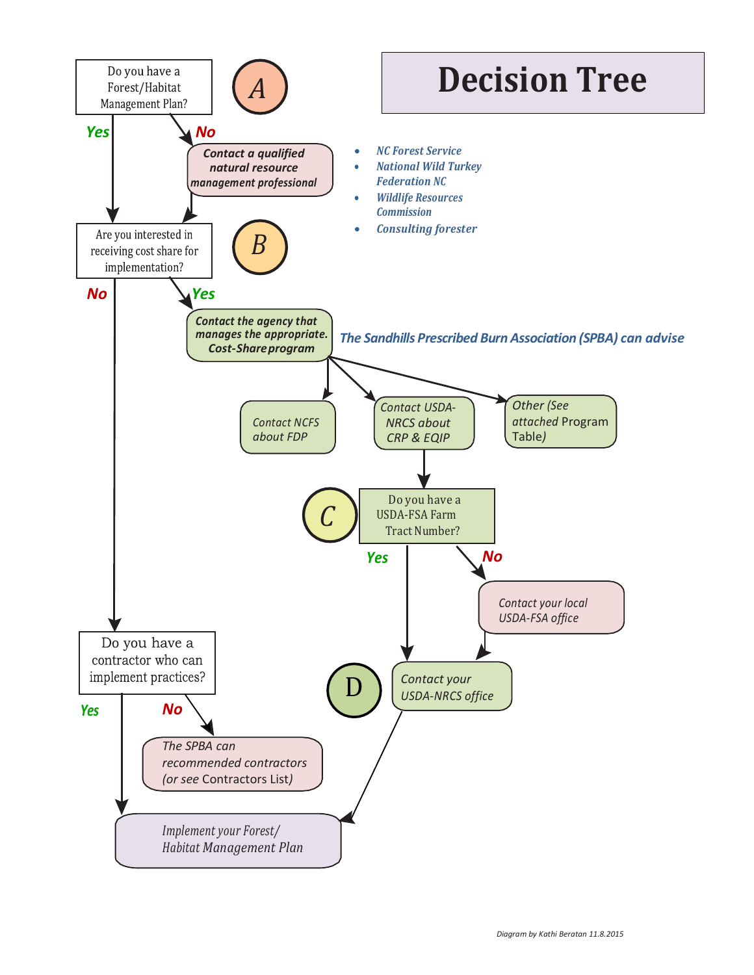